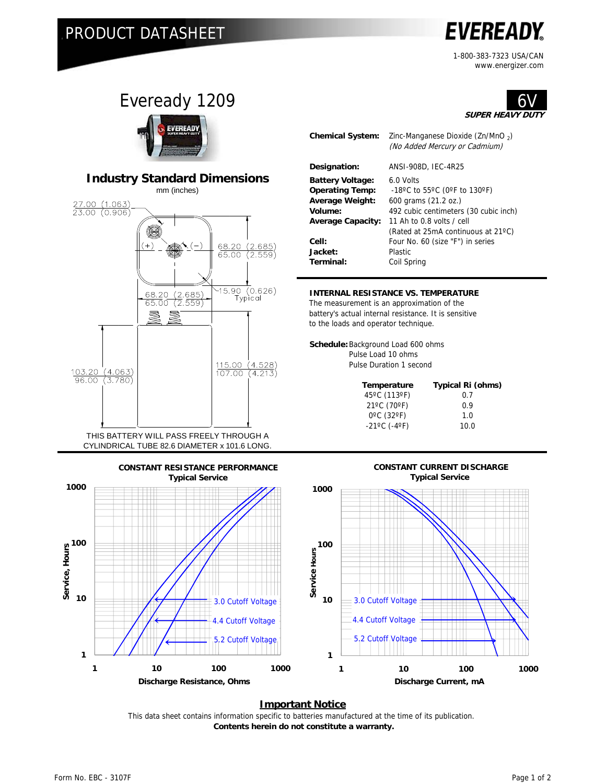### PRODUCT DATASHEET

# **EVEREADY**

1-800-383-7323 USA/CAN www.energizer.com

6V





#### **INTERNAL RESISTANCE VS. TEMPERATURE**

The measurement is an approximation of the battery's actual internal resistance. It is sensitive to the loads and operator technique.

**Schedule:**Background Load 600 ohms Pulse Load 10 ohms Pulse Duration 1 second

| Typical Ri (ohms) |
|-------------------|
| 0.7               |
| 0.9               |
| 1.0               |
| 10.0              |
|                   |



#### **Important Notice**

This data sheet contains information specific to batteries manufactured at the time of its publication.  **Contents herein do not constitute a warranty.**